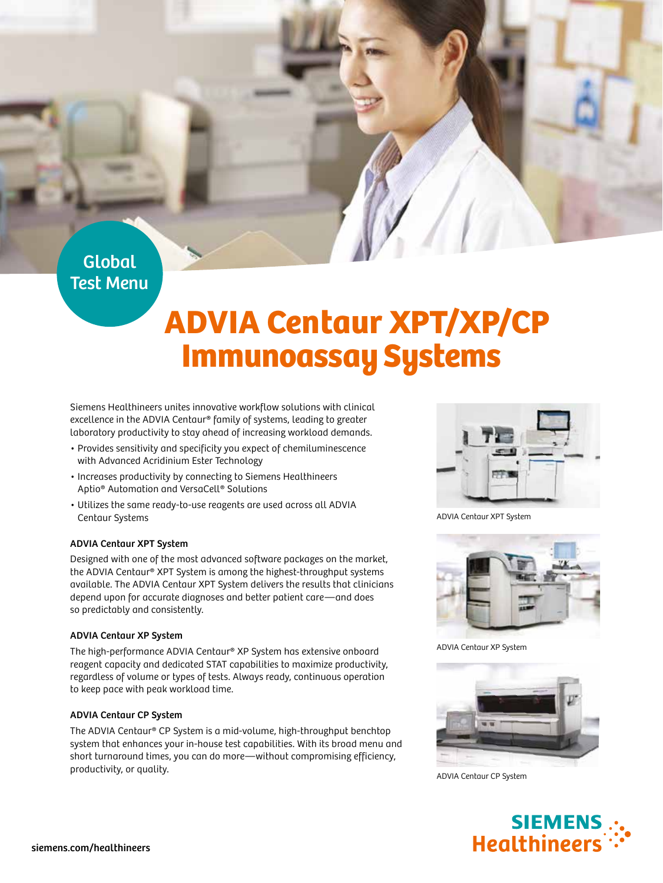## Global Test Menu

# ADVIA Centaur XPT/XP/CP Immunoassay Systems

Siemens Healthineers unites innovative workflow solutions with clinical excellence in the ADVIA Centaur® family of systems, leading to greater laboratory productivity to stay ahead of increasing workload demands.

- Provides sensitivity and specificity you expect of chemiluminescence with Advanced Acridinium Ester Technology
- Increases productivity by connecting to Siemens Healthineers Aptio® Automation and VersaCell® Solutions
- Utilizes the same ready-to-use reagents are used across all ADVIA Centaur Systems

#### ADVIA Centaur XPT System

Designed with one of the most advanced software packages on the market, the ADVIA Centaur® XPT System is among the highest-throughput systems available. The ADVIA Centaur XPT System delivers the results that clinicians depend upon for accurate diagnoses and better patient care—and does so predictably and consistently.

#### ADVIA Centaur XP System

The high-performance ADVIA Centaur® XP System has extensive onboard reagent capacity and dedicated STAT capabilities to maximize productivity, regardless of volume or types of tests. Always ready, continuous operation to keep pace with peak workload time.

#### ADVIA Centaur CP System

The ADVIA Centaur® CP System is a mid-volume, high-throughput benchtop system that enhances your in-house test capabilities. With its broad menu and short turnaround times, you can do more—without compromising efficiency, productivity, or quality.



ADVIA Centaur XPT System



ADVIA Centaur XP System



ADVIA Centaur CP System